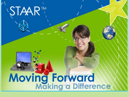

# Moving Forward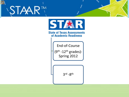



End-of-Course  $(9<sup>th</sup> - 12<sup>th</sup>$  grades)-Spring 2012

3rd -8th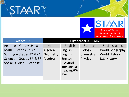



| Grades 3-8                                         | <b>High School COURSES</b> |               |                |                        |
|----------------------------------------------------|----------------------------|---------------|----------------|------------------------|
| Reading - Grades 3rd -8th                          | Math                       | English       | Science        | <b>Social Studies</b>  |
| Math - Grades 3rd -8th                             | Algebra I                  | English I     | <b>Biology</b> | <b>World Geography</b> |
| Writing – Grades $4th$ & $7th$                     | Geometry                   | English II    | Chemistry      | <b>World History</b>   |
| Science - Grades 5 <sup>th</sup> & 8 <sup>th</sup> | Algebra II                 | English III   | <b>Physics</b> | U.S. History           |
| Social Studies – Grade $8th$                       |                            | * Divided     |                |                        |
|                                                    |                            | into two test |                |                        |
|                                                    |                            | (reading/Wr   |                |                        |
|                                                    |                            | iting)        |                |                        |
|                                                    |                            |               |                |                        |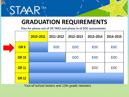

#### **GRADUATION REQUIREMENTS**

**Plan for phase-out of HS TAKS and phase-in of EOC assessments**

|              | 2010-2011 | 2011-2012 | 2012-2013 | 2013-2014 | 2014-2015 |
|--------------|-----------|-----------|-----------|-----------|-----------|
| GR 9         |           | EOC       | EOC       | EOC       | EOC       |
| <b>GR 10</b> |           |           | EOC       | EOC       | EOC       |
| <b>GR 11</b> |           |           |           | EOC       | EOC       |
| <b>GR 12</b> |           |           |           |           |           |

\*Out-of-school testers and 12th grade retesters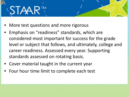



- Emphasis on "readiness" standards, which are considered most important for success for the grade level or subject that follows, and ultimately, college and career readiness. Assessed every year. Supporting standards assessed on rotating basis.
- Cover material taught in the current year
- Four hour time limit to complete each test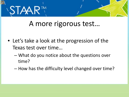

#### A more rigorous test…

- Let's take a look at the progression of the Texas test over time…
	- What do you notice about the questions over time?
	- How has the difficulty level changed over time?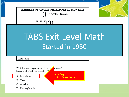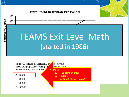

In 1970, tuition at Britton Pre \$300 per pupil. According to much money was collecte



**B** \$900

- \$600 С
- \$6000 D

hool was graph how

Two Steps:

- 1. Find point on graph
- 2. Multiply
	- 30 pupils x \$300 = \$9,000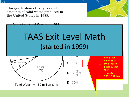The graph shows the types and amounts of solid waste produced in the United States in 1988.



Municipal Solid Waste 1000

## TAAS Exit Level Math (started in 1999)



1. Find paper on pie chart

Three Steps:

- 2. Divide tons of paper by total tons: 72/180
- 3. Convert to 40%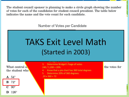The student council sponsor is planning to make a circle graph showing the number of votes for each of the candidates for student council president. The table below indicates the name and the vote count for each candidate.

Number of Votes per Candidate

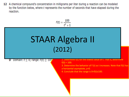12 A chemical compound's concentration in milligrams per liter during a reaction can be modeled by the function below, where t represents the number of seconds that have elapsed during the reaction.

$$
f(t)=\frac{100}{t^2+1}
$$

STAAR Algebra II (2012)ハエムナ 1. For this problem, what values of t are appropriate? 2. Determine f(t) for the lowest value of t. That is, determine **D** Domain:  $t \leq 0$ ; range:  $t(t) \geq 100$  $f(0) = 100.$ 3. Determine the behavior of f (t) as t increases. Note that f(t) has a horizontal asymptote, y=0. 4. Conclude that the range is 0<f(t)≤100.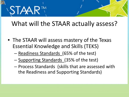

#### What will the STAAR actually assess?

- The STAAR will assess mastery of the Texas Essential Knowledge and Skills (TEKS)
	- Readiness Standards (65% of the test)
	- Supporting Standards (35% of the test)
	- Process Standards (skills that are assessed with the Readiness and Supporting Standards)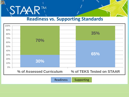

#### **Readiness vs. Supporting Standards**



Readiness Supporting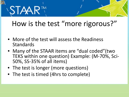

#### How is the test "more rigorous?"

- More of the test will assess the Readiness Standards
- Many of the STAAR items are "dual coded"(two TEKS within one question) Example: (M-70%, Sci- 50%, SS-35% of all items)
- The test is longer (more questions)
- The test is timed (4hrs to complete)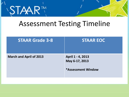

#### Assessment Testing Timeline

| <b>STAAR Grade 3-8</b>         | <b>STAAR EOC</b>                                                 |
|--------------------------------|------------------------------------------------------------------|
| <b>March and April of 2013</b> | April 1 - 4, 2013<br>May 6-17, 2013<br><b>*Assessment Window</b> |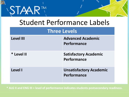

#### Student Performance Labels

#### **Three Levels**

| <b>Level III</b> | <b>Advanced Academic</b><br>Performance       |
|------------------|-----------------------------------------------|
| * Level II       | <b>Satisfactory Academic</b><br>Performance   |
| Level I          | <b>Unsatisfactory Academic</b><br>Performance |

**\* ALG II and ENG III = level of performance indicates students postsecondary readiness.**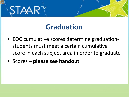

#### **Graduation**

- EOC cumulative scores determine graduationstudents must meet a certain cumulative score in each subject area in order to graduate
- Scores **please see handout**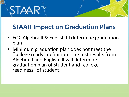

#### **STAAR Impact on Graduation Plans**

- EOC Algebra II & English III determine graduation plan
- Minimum graduation plan does not meet the "college ready" definition- The test results from Algebra II and English III will determine graduation plan of student and "college readiness" of student.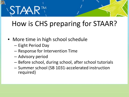

### How is CHS preparing for STAAR?

- More time in high school schedule
	- Eight Period Day
	- Response for Intervention Time
	- Advisory period
	- Before school, during school, after school tutorials
	- Summer school (SB 1031-accelerated instruction required)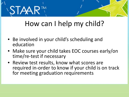

#### How can I help my child?

- Be involved in your child's scheduling and education
- Make sure your child takes EOC courses early/on time/re-test if necessary
- Review test results, know what scores are required in-order to know if your child is on track for meeting graduation requirements